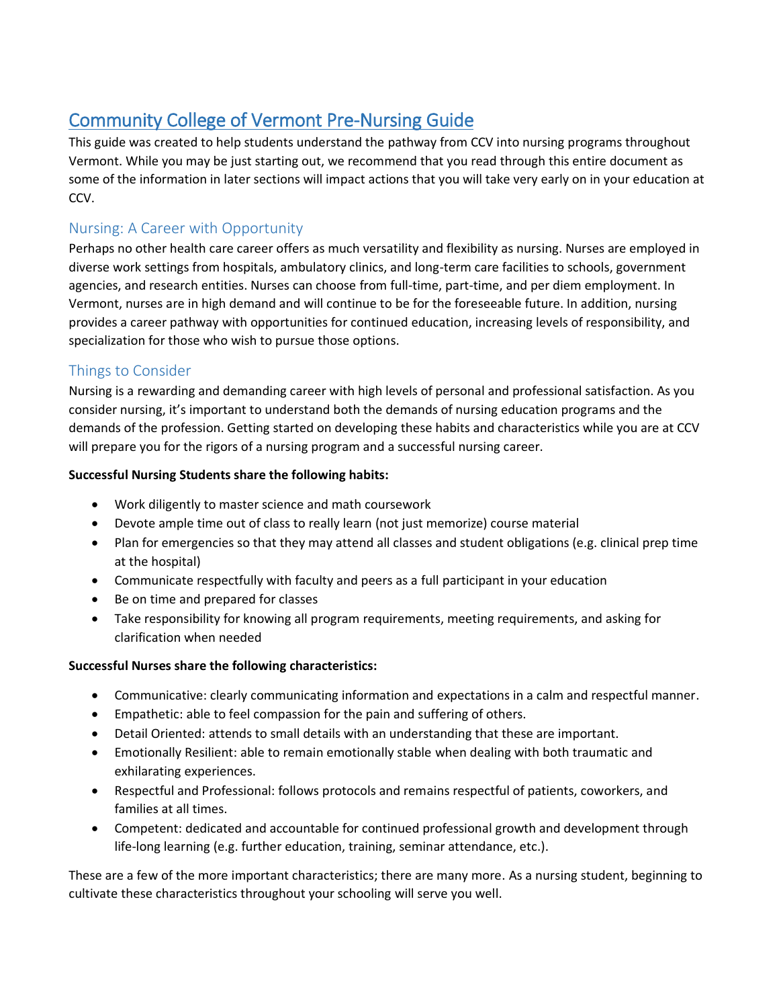# Community College of Vermont Pre-Nursing Guide

This guide was created to help students understand the pathway from CCV into nursing programs throughout Vermont. While you may be just starting out, we recommend that you read through this entire document as some of the information in later sections will impact actions that you will take very early on in your education at CCV.

# Nursing: A Career with Opportunity

Perhaps no other health care career offers as much versatility and flexibility as nursing. Nurses are employed in diverse work settings from hospitals, ambulatory clinics, and long-term care facilities to schools, government agencies, and research entities. Nurses can choose from full-time, part-time, and per diem employment. In Vermont, nurses are in high demand and will continue to be for the foreseeable future. In addition, nursing provides a career pathway with opportunities for continued education, increasing levels of responsibility, and specialization for those who wish to pursue those options.

## Things to Consider

Nursing is a rewarding and demanding career with high levels of personal and professional satisfaction. As you consider nursing, it's important to understand both the demands of nursing education programs and the demands of the profession. Getting started on developing these habits and characteristics while you are at CCV will prepare you for the rigors of a nursing program and a successful nursing career.

#### **Successful Nursing Students share the following habits:**

- Work diligently to master science and math coursework
- Devote ample time out of class to really learn (not just memorize) course material
- Plan for emergencies so that they may attend all classes and student obligations (e.g. clinical prep time at the hospital)
- Communicate respectfully with faculty and peers as a full participant in your education
- Be on time and prepared for classes
- Take responsibility for knowing all program requirements, meeting requirements, and asking for clarification when needed

#### **Successful Nurses share the following characteristics:**

- Communicative: clearly communicating information and expectations in a calm and respectful manner.
- Empathetic: able to feel compassion for the pain and suffering of others.
- Detail Oriented: attends to small details with an understanding that these are important.
- Emotionally Resilient: able to remain emotionally stable when dealing with both traumatic and exhilarating experiences.
- Respectful and Professional: follows protocols and remains respectful of patients, coworkers, and families at all times.
- Competent: dedicated and accountable for continued professional growth and development through life-long learning (e.g. further education, training, seminar attendance, etc.).

These are a few of the more important characteristics; there are many more. As a nursing student, beginning to cultivate these characteristics throughout your schooling will serve you well.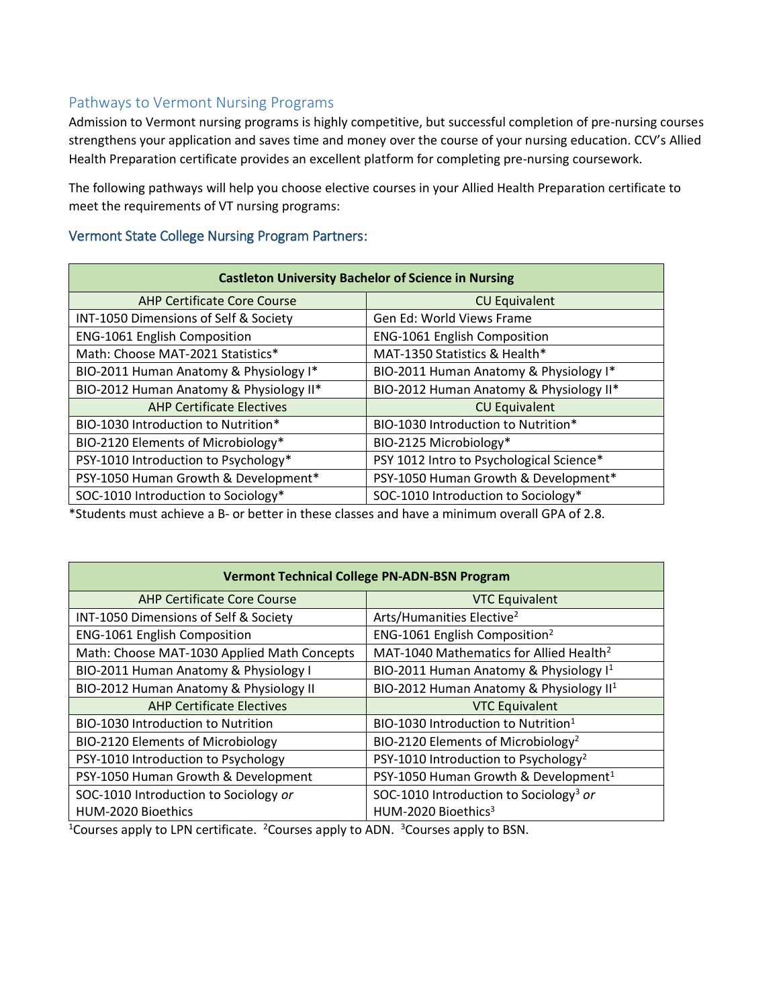## Pathways to Vermont Nursing Programs

Admission to Vermont nursing programs is highly competitive, but successful completion of pre-nursing courses strengthens your application and saves time and money over the course of your nursing education. CCV's Allied Health Preparation certificate provides an excellent platform for completing pre-nursing coursework.

The following pathways will help you choose elective courses in your Allied Health Preparation certificate to meet the requirements of VT nursing programs:

#### Vermont State College Nursing Program Partners:

| <b>Castleton University Bachelor of Science in Nursing</b> |                                          |  |
|------------------------------------------------------------|------------------------------------------|--|
| <b>AHP Certificate Core Course</b>                         | <b>CU Equivalent</b>                     |  |
| INT-1050 Dimensions of Self & Society                      | Gen Ed: World Views Frame                |  |
| <b>ENG-1061 English Composition</b>                        | <b>ENG-1061 English Composition</b>      |  |
| Math: Choose MAT-2021 Statistics*                          | MAT-1350 Statistics & Health*            |  |
| BIO-2011 Human Anatomy & Physiology I*                     | BIO-2011 Human Anatomy & Physiology I*   |  |
| BIO-2012 Human Anatomy & Physiology II*                    | BIO-2012 Human Anatomy & Physiology II*  |  |
| <b>AHP Certificate Electives</b>                           | <b>CU Equivalent</b>                     |  |
| BIO-1030 Introduction to Nutrition*                        | BIO-1030 Introduction to Nutrition*      |  |
| BIO-2120 Elements of Microbiology*                         | BIO-2125 Microbiology*                   |  |
| PSY-1010 Introduction to Psychology*                       | PSY 1012 Intro to Psychological Science* |  |
| PSY-1050 Human Growth & Development*                       | PSY-1050 Human Growth & Development*     |  |
| SOC-1010 Introduction to Sociology*                        | SOC-1010 Introduction to Sociology*      |  |

\*Students must achieve a B- or better in these classes and have a minimum overall GPA of 2.8.

| <b>Vermont Technical College PN-ADN-BSN Program</b> |                                                     |  |
|-----------------------------------------------------|-----------------------------------------------------|--|
| <b>AHP Certificate Core Course</b>                  | <b>VTC Equivalent</b>                               |  |
| INT-1050 Dimensions of Self & Society               | Arts/Humanities Elective <sup>2</sup>               |  |
| <b>ENG-1061 English Composition</b>                 | ENG-1061 English Composition <sup>2</sup>           |  |
| Math: Choose MAT-1030 Applied Math Concepts         | MAT-1040 Mathematics for Allied Health <sup>2</sup> |  |
| BIO-2011 Human Anatomy & Physiology I               | BIO-2011 Human Anatomy & Physiology I <sup>1</sup>  |  |
| BIO-2012 Human Anatomy & Physiology II              | BIO-2012 Human Anatomy & Physiology II <sup>1</sup> |  |
| <b>AHP Certificate Electives</b>                    | <b>VTC Equivalent</b>                               |  |
| <b>BIO-1030 Introduction to Nutrition</b>           | BIO-1030 Introduction to Nutrition <sup>1</sup>     |  |
| BIO-2120 Elements of Microbiology                   | BIO-2120 Elements of Microbiology <sup>2</sup>      |  |
| PSY-1010 Introduction to Psychology                 | PSY-1010 Introduction to Psychology <sup>2</sup>    |  |
| PSY-1050 Human Growth & Development                 | PSY-1050 Human Growth & Development <sup>1</sup>    |  |
| SOC-1010 Introduction to Sociology or               | SOC-1010 Introduction to Sociology <sup>3</sup> or  |  |
| HUM-2020 Bioethics                                  | HUM-2020 Bioethics <sup>3</sup>                     |  |

<sup>1</sup>Courses apply to LPN certificate. <sup>2</sup>Courses apply to ADN. <sup>3</sup>Courses apply to BSN.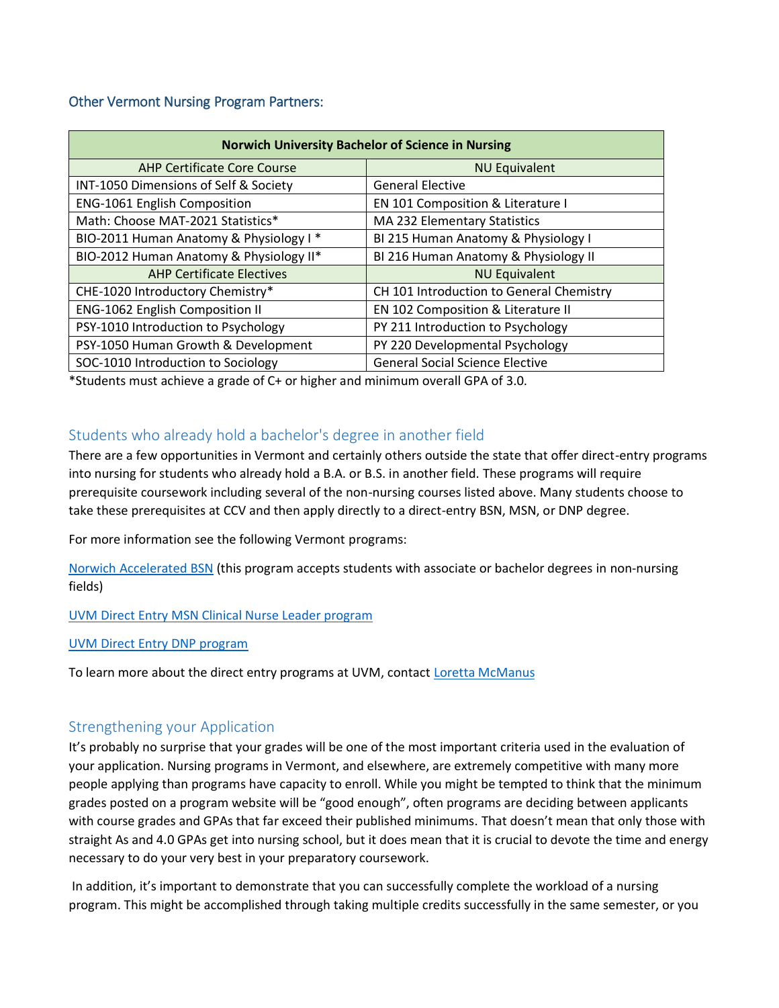#### Other Vermont Nursing Program Partners:

| <b>Norwich University Bachelor of Science in Nursing</b> |                                          |  |
|----------------------------------------------------------|------------------------------------------|--|
| <b>AHP Certificate Core Course</b>                       | <b>NU Equivalent</b>                     |  |
| INT-1050 Dimensions of Self & Society                    | <b>General Elective</b>                  |  |
| <b>ENG-1061 English Composition</b>                      | EN 101 Composition & Literature I        |  |
| Math: Choose MAT-2021 Statistics*                        | MA 232 Elementary Statistics             |  |
| BIO-2011 Human Anatomy & Physiology I*                   | BI 215 Human Anatomy & Physiology I      |  |
| BIO-2012 Human Anatomy & Physiology II*                  | BI 216 Human Anatomy & Physiology II     |  |
| <b>AHP Certificate Electives</b>                         | <b>NU Equivalent</b>                     |  |
| CHE-1020 Introductory Chemistry*                         | CH 101 Introduction to General Chemistry |  |
| <b>ENG-1062 English Composition II</b>                   | EN 102 Composition & Literature II       |  |
| PSY-1010 Introduction to Psychology                      | PY 211 Introduction to Psychology        |  |
| PSY-1050 Human Growth & Development                      | PY 220 Developmental Psychology          |  |
| SOC-1010 Introduction to Sociology                       | <b>General Social Science Elective</b>   |  |

\*Students must achieve a grade of C+ or higher and minimum overall GPA of 3.0.

## Students who already hold a bachelor's degree in another field

There are a few opportunities in Vermont and certainly others outside the state that offer direct-entry programs into nursing for students who already hold a B.A. or B.S. in another field. These programs will require prerequisite coursework including several of the non-nursing courses listed above. Many students choose to take these prerequisites at CCV and then apply directly to a direct-entry BSN, MSN, or DNP degree.

For more information see the following Vermont programs:

[Norwich Accelerated BSN](http://catalog.norwich.edu/residentialprogramscatalog/collegeofprofessionalschools/schoolofnursing/nursing/#majoracceleratedbsntext) (this program accepts students with associate or bachelor degrees in non-nursing fields)

#### [UVM Direct Entry MSN Clinical Nurse Leader program](https://www.uvm.edu/cnhs/nursing/master_science_nursing_clinical_nurse_leader)

#### [UVM Direct Entry DNP program](https://www.uvm.edu/cnhs/nursing/direct_entry_program_nursing)

To learn more about the direct entry programs at UVM, contact [Loretta McManus](mailto:loretta.mcmanus@med.uvm.edu)

## Strengthening your Application

It's probably no surprise that your grades will be one of the most important criteria used in the evaluation of your application. Nursing programs in Vermont, and elsewhere, are extremely competitive with many more people applying than programs have capacity to enroll. While you might be tempted to think that the minimum grades posted on a program website will be "good enough", often programs are deciding between applicants with course grades and GPAs that far exceed their published minimums. That doesn't mean that only those with straight As and 4.0 GPAs get into nursing school, but it does mean that it is crucial to devote the time and energy necessary to do your very best in your preparatory coursework.

In addition, it's important to demonstrate that you can successfully complete the workload of a nursing program. This might be accomplished through taking multiple credits successfully in the same semester, or you